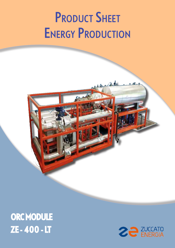# **PRODUCT SHEET ENERGY PRODUCTION**

## ORC MODULE ZE - 400 - LT

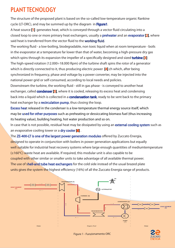#### PLANT TECNOLOGY

The structure of the proposed plant is based on the so-called low-temperature organic Rankine cycle (LT-ORC), and may be summed up by the diagram in Figure1.

A heat source [1] generates heat, which is conveyed through a vector fluid circulating into a closed loop to one or more primary heat exchangers, usually a **preheater** and an **evaporator [2]**, where said heat is transferred from the vector fluid to the working fluid.

The working fluid - a low-boiling, biodegradable, non toxic liquid when at room temperature - boils in the evaporator at a temperature far lower than that of water, becoming a high-pressure dry gas which spins through its expansion the impeller of a specifically designed and sized **turbine [3]** The high-speed rotation (12.000÷18.000 Rpm) of the turbine shaft spins the rotor of a generator which is directly connected to it, thus producing electric power [4] ch which, after being synchronized in frequency, phase and voltage by a power converter, may be injected into the national power grid or self-consumed, according to local needs and policies.

Downstream the turbine, the working fluid - still in gas phase - is conveyed to another heat exchanger, called **condenser [5]**, where it is cooled, releasing its excess heat and condensing back into a liquid which is collected in a **condensation tank**, ready to be sent back to the primary heat exchanger by a **recirculation pump**, thus closing the loop.

Excess heat released in the condenser is a low-temperature thermal energy source itself, which may be used for other purposes such as preheating or dessiccating biomass fuel (thus increasing its heating value), building heating, hot water production and so on.

In case that is not possible, residual heat may be dissipated by using an external cooling system such as an evaporative cooling tower or a dry cooler [6].

The ZE-400-LT is one of the largest power generation modules offered by Zuccato Energia, designed to operate in conjunction with boilers in power generation applications but equally well suitable for industrial heat recovery systems where large enough quantities of mediumtemperature (≥160°C) waste heat are available. If required, this modular unit is also capable to be coupled with other similar or smaller units to take advantage of all available thermal power. The use of shell-and tube heat exchangers for the cold side instead of the usual brazed plate units gives the system the highest efficiency (16%) of all the Zuccato Energia range of products.



Figure 1 - Funzionamento ORC

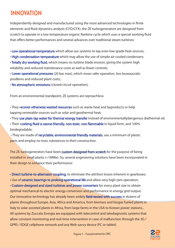#### INNOVATION

Independently designed and manufactured using the most advanced technologies in finite elements and fluid-dynamics analysis (CFD/CFX), the ZE turbogenerators are designed from scratch to operate in a low-temperature organic Rankine cycle which uses a special working fluid that offers better performances and several advances over traditional steam turbines:

• Low operational temperature which allow our systems to tap even low-grade heat sources;

• High condensation temperature which may allow the use of simple air-cooled condensers;

• Totally dry working fluid, which means no turbine blade erosion, giving the system high reliability and reduced maintenance costs as well as fewer controls;

• Lower operational pressures (20 bar max), which mean safer operation, less bureaucratic prodlems and reduced plant costs;

• No atmospheric emissions (closed circuit operation);

From an environmental standpoint, ZE systems are reproachless:

• They recover otherwise wasted resources such as waste heat and byproducts or help tapping renewable sources such as solar and geothermal heat;

• They use plain tap water for thermal energy transfer instead of environmentallydangerous diathermal oil;

• Their working fluid is ozone-friendly, non-toxic, non flammable in liquid form, and 100% biodegradable;

• They are made of recyclable, environmental friendly materials, use a minimum of plastic parts and employ no toxic substances in theri construction.

The ZE turbogenerators have been custom designed from scratch for the purpose of being installed in small plants (<1MWe). So, several engineering solutions have been incorporated in their design to enhance their performance:

• Direct turbine-to-alternator coupling, to eliminate the attrition losses inherent in gearboxes;

• Use of ceramic bearings to prolong operational life and allow very high-rpm operation;

• Custom-designed and sized turbines and power converters for every plant size to obtain optimal mechanical-to electric energy conversion and performance in energy grid output. Our innovative technology has already been widely field-tested with success in dozens of plants throughout Europe, Asia, Africa and America, from biomass and biogas fueled plants in Italy to solar-assisted plants in Africa, from large farms in the USA to Korean power stations.. All systems by Zuccato Energia are equipped with telecontrol and telediagnostic systems that allow constant monitoring and real-time intervention in case of malfunction through the 3G / GPRS / EDGE cellphone network and any Web-savvy device (PC or tablet).

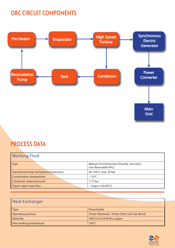#### ORC CIRCUIT COMPONENTS



#### PROCESS DATA

| <b>Working Fluid</b>                     |                                                                   |
|------------------------------------------|-------------------------------------------------------------------|
| <b>Type</b>                              | Mixture of environment-friendly, non-toxic,<br>non-flammable HFCs |
| Operational range (temperature/pressure) | 60-165°C, max. 20 bar                                             |
| <b>Condensation temperature</b>          | $\sim$ 33°C                                                       |
| Condenser output pressure                | 1,17 bar                                                          |
| Orgnic vapor mass flow                   | $\sim$ 6 kg/s (145/40°C)                                          |

| <b>Heat Exchanger</b>   |                                                   |
|-------------------------|---------------------------------------------------|
| Type                    | <b>Brazed plate</b>                               |
| Operating pressure      | 30 bar (Nominal) / 39 bar (Test) /225 bar (Burst) |
| Materials               | AISI316 S/S & 99,9% copper                        |
| Max working temperature | $195^{\circ}$ C                                   |

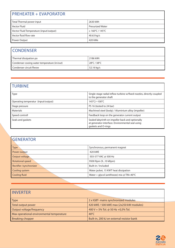| <b>PREHEATER + EVAPORATOR</b>           |                              |  |
|-----------------------------------------|------------------------------|--|
| Total Thermal power input               | 2630 kWt                     |  |
| <b>Vector Fluid</b>                     | <b>Presurized Water</b>      |  |
| Vector Fluid Temperature (input/output) | $\geq 160^{\circ}$ C / 145°C |  |
| Vector fluid flow rate                  | 40.63 kg/s                   |  |
| Power Output                            | 420 kWe                      |  |

#### **CONDENSER**

| Thermal dissipation po                      | 2186 kWt    |
|---------------------------------------------|-------------|
| Condenser cooing water temperature (in/out) | 28°C / 38°C |
| Condenser circuit flwow                     | 52.16 kg/s  |

### TURBINE

| <b>Type</b>                         | Single-stage radial inflow turbine w/fixed nozzles, directly coupled<br>to the generator shaft                              |
|-------------------------------------|-----------------------------------------------------------------------------------------------------------------------------|
| Operating temperatur (input/output) | 145°C/~100°C                                                                                                                |
| Stage pressure                      | PS 16 (tested to 24 bar)                                                                                                    |
| <b>Materials</b>                    | Machined steel (body) / Aluminium alloy (impeller)                                                                          |
| Speed controll                      | Feedback loop on the generator current output                                                                               |
| Seals and gaskets                   | Sealed labyrinth on impeller back and optionally<br>at generator interface. Environmental seal using<br>gaskets and O-rings |

| <b>GENERATOR</b>        |                                              |
|-------------------------|----------------------------------------------|
| Type                    | Synchronous, permanent magnet                |
| Power output            | 420 kWE                                      |
| Output voltage          | 503-577 VAC @ 500 Hz                         |
| <b>Rotational speed</b> | 9500 Rpm (910 kRpm)                          |
| Rectifier /synchronizer | Built-in / Included                          |
| Cooling system          | Water jacket, 15 KWT heat dissipation        |
| Cooling fluid           | Water + glycol (antifreeze) mix $@$ TIN<40°C |

| <b>LINVERTER</b>                          |                                            |
|-------------------------------------------|--------------------------------------------|
| $\sqrt{ }$ Type                           | 2 x IGBT- mains synchronized modules       |
| Total output power                        | 420 kWE / 500 kWE max (2x250 kW modules)   |
| Output voltage/frequency                  | 400 V + 5% Tol. @ 50 Hz +0,5% Tol.         |
| Max operational environmental temperature | $40^{\circ}$ C                             |
| <b>Breaking chopper</b>                   | Built-in, 200 kJ on external resistor bank |